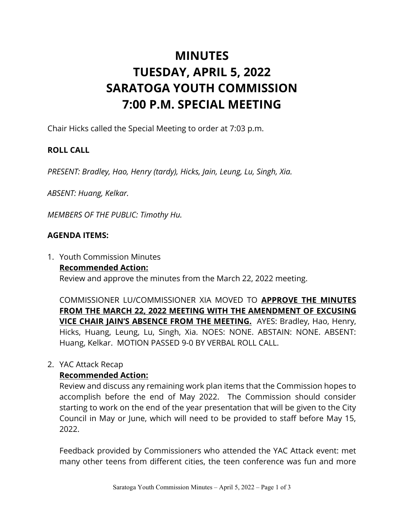# **MINUTES TUESDAY, APRIL 5, 2022 SARATOGA YOUTH COMMISSION 7:00 P.M. SPECIAL MEETING**

Chair Hicks called the Special Meeting to order at 7:03 p.m.

## **ROLL CALL**

*PRESENT: Bradley, Hao, Henry (tardy), Hicks, Jain, Leung, Lu, Singh, Xia.* 

*ABSENT: Huang, Kelkar.*

*MEMBERS OF THE PUBLIC: Timothy Hu.*

#### **AGENDA ITEMS:**

1. Youth Commission Minutes **Recommended Action:**

Review and approve the minutes from the March 22, 2022 meeting.

COMMISSIONER LU/COMMISSIONER XIA MOVED TO **APPROVE THE MINUTES FROM THE MARCH 22, 2022 MEETING WITH THE AMENDMENT OF EXCUSING VICE CHAIR JAIN'S ABSENCE FROM THE MEETING.** AYES: Bradley, Hao, Henry, Hicks, Huang, Leung, Lu, Singh, Xia. NOES: NONE. ABSTAIN: NONE. ABSENT: Huang, Kelkar. MOTION PASSED 9-0 BY VERBAL ROLL CALL.

#### 2. YAC Attack Recap

#### **Recommended Action:**

Review and discuss any remaining work plan items that the Commission hopes to accomplish before the end of May 2022. The Commission should consider starting to work on the end of the year presentation that will be given to the City Council in May or June, which will need to be provided to staff before May 15, 2022.

Feedback provided by Commissioners who attended the YAC Attack event: met many other teens from different cities, the teen conference was fun and more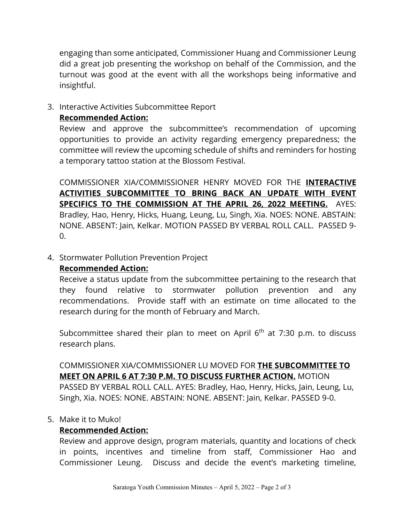engaging than some anticipated, Commissioner Huang and Commissioner Leung did a great job presenting the workshop on behalf of the Commission, and the turnout was good at the event with all the workshops being informative and insightful.

3. Interactive Activities Subcommittee Report

#### **Recommended Action:**

Review and approve the subcommittee's recommendation of upcoming opportunities to provide an activity regarding emergency preparedness; the committee will review the upcoming schedule of shifts and reminders for hosting a temporary tattoo station at the Blossom Festival.

COMMISSIONER XIA/COMMISSIONER HENRY MOVED FOR THE **INTERACTIVE ACTIVITIES SUBCOMMITTEE TO BRING BACK AN UPDATE WITH EVENT SPECIFICS TO THE COMMISSION AT THE APRIL 26, 2022 MEETING.** AYES: Bradley, Hao, Henry, Hicks, Huang, Leung, Lu, Singh, Xia. NOES: NONE. ABSTAIN: NONE. ABSENT: Jain, Kelkar. MOTION PASSED BY VERBAL ROLL CALL. PASSED 9- 0.

#### 4. Stormwater Pollution Prevention Project

## **Recommended Action:**

Receive a status update from the subcommittee pertaining to the research that they found relative to stormwater pollution prevention and any recommendations. Provide staff with an estimate on time allocated to the research during for the month of February and March.

Subcommittee shared their plan to meet on April  $6<sup>th</sup>$  at 7:30 p.m. to discuss research plans.

COMMISSIONER XIA/COMMISSIONER LU MOVED FOR **THE SUBCOMMITTEE TO MEET ON APRIL 6 AT 7:30 P.M. TO DISCUSS FURTHER ACTION.** MOTION PASSED BY VERBAL ROLL CALL. AYES: Bradley, Hao, Henry, Hicks, Jain, Leung, Lu, Singh, Xia. NOES: NONE. ABSTAIN: NONE. ABSENT: Jain, Kelkar. PASSED 9-0.

#### 5. Make it to Muko!

## **Recommended Action:**

Review and approve design, program materials, quantity and locations of check in points, incentives and timeline from staff, Commissioner Hao and Commissioner Leung. Discuss and decide the event's marketing timeline,